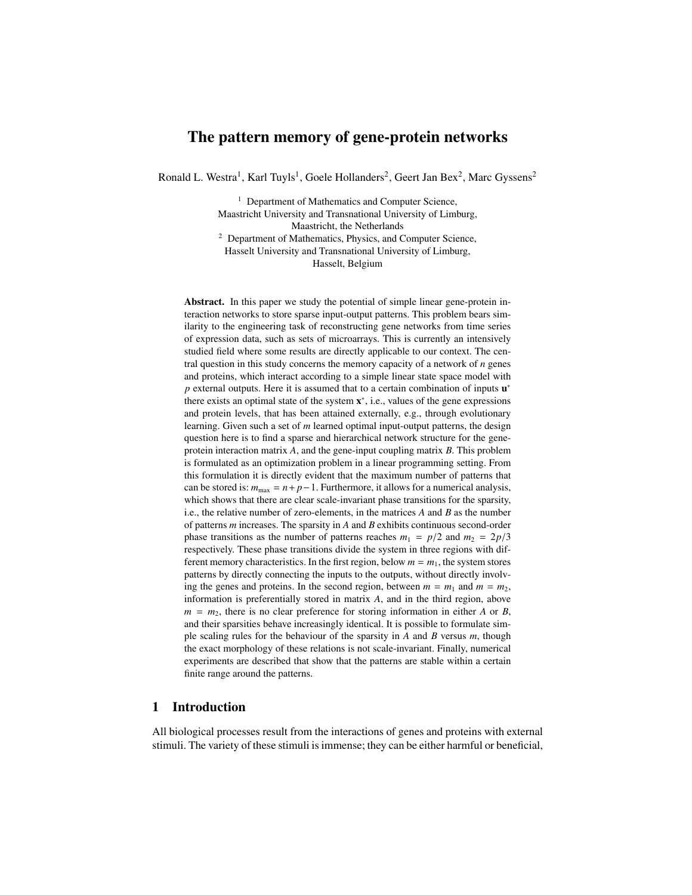# The pattern memory of gene-protein networks

Ronald L. Westra<sup>1</sup>, Karl Tuyls<sup>1</sup>, Goele Hollanders<sup>2</sup>, Geert Jan Bex<sup>2</sup>, Marc Gyssens<sup>2</sup>

<sup>1</sup> Department of Mathematics and Computer Science, Maastricht University and Transnational University of Limburg, Maastricht, the Netherlands <sup>2</sup> Department of Mathematics, Physics, and Computer Science, Hasselt University and Transnational University of Limburg,

Hasselt, Belgium

Abstract. In this paper we study the potential of simple linear gene-protein interaction networks to store sparse input-output patterns. This problem bears similarity to the engineering task of reconstructing gene networks from time series of expression data, such as sets of microarrays. This is currently an intensively studied field where some results are directly applicable to our context. The central question in this study concerns the memory capacity of a network of *n* genes and proteins, which interact according to a simple linear state space model with p external outputs. Here it is assumed that to a certain combination of inputs  $\mathbf{u}^*$ there exists an optimal state of the system  $x^*$ , i.e., values of the gene expressions and protein levels, that has been attained externally, e.g., through evolutionary learning. Given such a set of *m* learned optimal input-output patterns, the design question here is to find a sparse and hierarchical network structure for the geneprotein interaction matrix *A*, and the gene-input coupling matrix *B*. This problem is formulated as an optimization problem in a linear programming setting. From this formulation it is directly evident that the maximum number of patterns that can be stored is:  $m_{\text{max}} = n + p - 1$ . Furthermore, it allows for a numerical analysis, which shows that there are clear scale-invariant phase transitions for the sparsity, i.e., the relative number of zero-elements, in the matrices *A* and *B* as the number of patterns *m* increases. The sparsity in *A* and *B* exhibits continuous second-order phase transitions as the number of patterns reaches  $m_1 = p/2$  and  $m_2 = 2p/3$ respectively. These phase transitions divide the system in three regions with different memory characteristics. In the first region, below  $m = m_1$ , the system stores patterns by directly connecting the inputs to the outputs, without directly involving the genes and proteins. In the second region, between  $m = m_1$  and  $m = m_2$ , information is preferentially stored in matrix *A*, and in the third region, above  $m = m<sub>2</sub>$ , there is no clear preference for storing information in either *A* or *B*, and their sparsities behave increasingly identical. It is possible to formulate simple scaling rules for the behaviour of the sparsity in *A* and *B* versus *m*, though the exact morphology of these relations is not scale-invariant. Finally, numerical experiments are described that show that the patterns are stable within a certain finite range around the patterns.

### 1 Introduction

All biological processes result from the interactions of genes and proteins with external stimuli. The variety of these stimuli is immense; they can be either harmful or beneficial,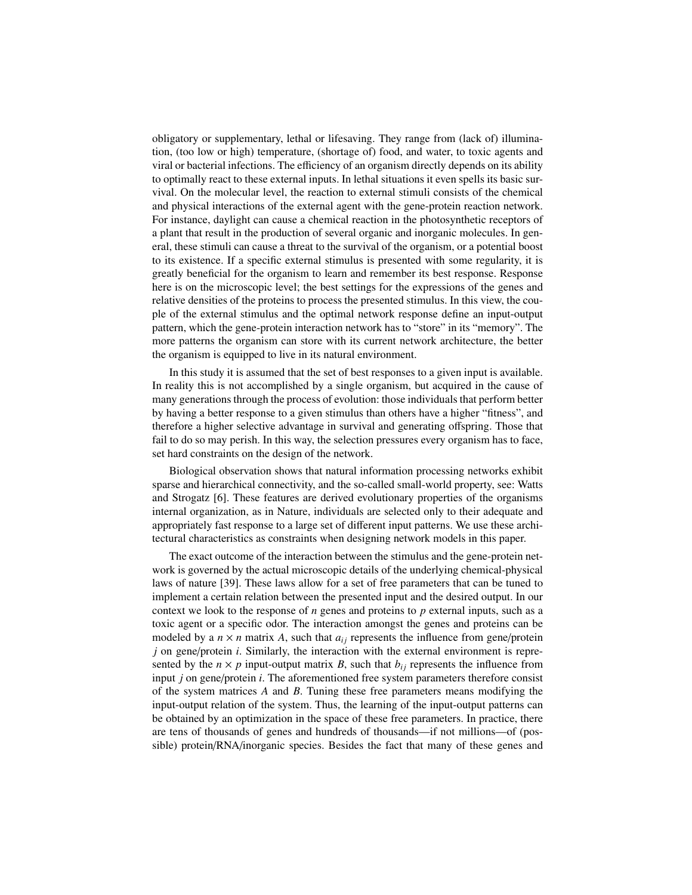obligatory or supplementary, lethal or lifesaving. They range from (lack of) illumination, (too low or high) temperature, (shortage of) food, and water, to toxic agents and viral or bacterial infections. The efficiency of an organism directly depends on its ability to optimally react to these external inputs. In lethal situations it even spells its basic survival. On the molecular level, the reaction to external stimuli consists of the chemical and physical interactions of the external agent with the gene-protein reaction network. For instance, daylight can cause a chemical reaction in the photosynthetic receptors of a plant that result in the production of several organic and inorganic molecules. In general, these stimuli can cause a threat to the survival of the organism, or a potential boost to its existence. If a specific external stimulus is presented with some regularity, it is greatly beneficial for the organism to learn and remember its best response. Response here is on the microscopic level; the best settings for the expressions of the genes and relative densities of the proteins to process the presented stimulus. In this view, the couple of the external stimulus and the optimal network response define an input-output pattern, which the gene-protein interaction network has to "store" in its "memory". The more patterns the organism can store with its current network architecture, the better the organism is equipped to live in its natural environment.

In this study it is assumed that the set of best responses to a given input is available. In reality this is not accomplished by a single organism, but acquired in the cause of many generations through the process of evolution: those individuals that perform better by having a better response to a given stimulus than others have a higher "fitness", and therefore a higher selective advantage in survival and generating offspring. Those that fail to do so may perish. In this way, the selection pressures every organism has to face, set hard constraints on the design of the network.

Biological observation shows that natural information processing networks exhibit sparse and hierarchical connectivity, and the so-called small-world property, see: Watts and Strogatz [6]. These features are derived evolutionary properties of the organisms internal organization, as in Nature, individuals are selected only to their adequate and appropriately fast response to a large set of different input patterns. We use these architectural characteristics as constraints when designing network models in this paper.

The exact outcome of the interaction between the stimulus and the gene-protein network is governed by the actual microscopic details of the underlying chemical-physical laws of nature [39]. These laws allow for a set of free parameters that can be tuned to implement a certain relation between the presented input and the desired output. In our context we look to the response of *n* genes and proteins to *p* external inputs, such as a toxic agent or a specific odor. The interaction amongst the genes and proteins can be modeled by a  $n \times n$  matrix A, such that  $a_{ij}$  represents the influence from gene/protein *j* on gene/protein *i*. Similarly, the interaction with the external environment is represented by the  $n \times p$  input-output matrix *B*, such that  $b_{ij}$  represents the influence from input *j* on gene/protein *i*. The aforementioned free system parameters therefore consist of the system matrices *A* and *B*. Tuning these free parameters means modifying the input-output relation of the system. Thus, the learning of the input-output patterns can be obtained by an optimization in the space of these free parameters. In practice, there are tens of thousands of genes and hundreds of thousands—if not millions—of (possible) protein/RNA/inorganic species. Besides the fact that many of these genes and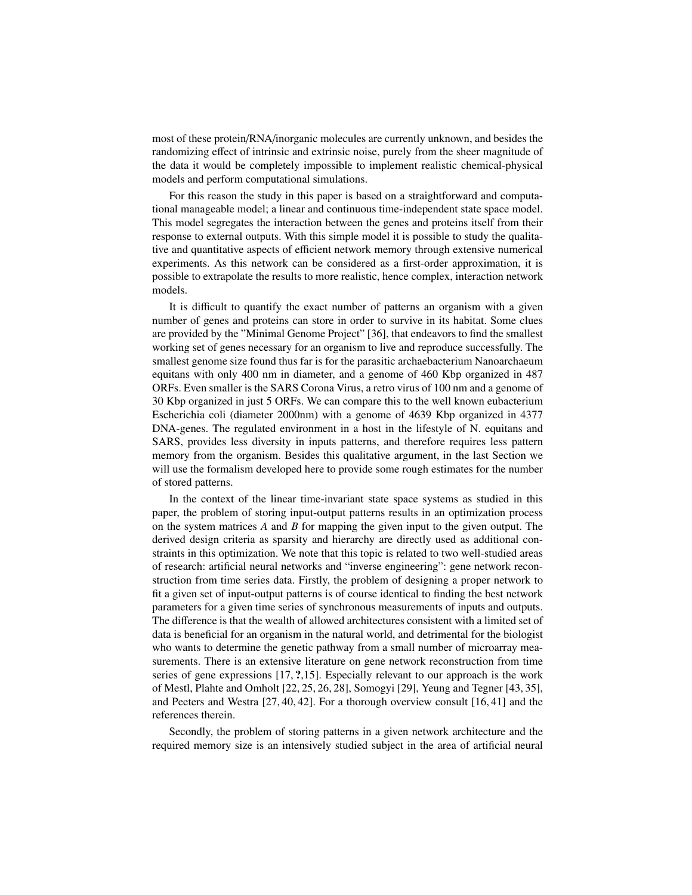most of these protein/RNA/inorganic molecules are currently unknown, and besides the randomizing effect of intrinsic and extrinsic noise, purely from the sheer magnitude of the data it would be completely impossible to implement realistic chemical-physical models and perform computational simulations.

For this reason the study in this paper is based on a straightforward and computational manageable model; a linear and continuous time-independent state space model. This model segregates the interaction between the genes and proteins itself from their response to external outputs. With this simple model it is possible to study the qualitative and quantitative aspects of efficient network memory through extensive numerical experiments. As this network can be considered as a first-order approximation, it is possible to extrapolate the results to more realistic, hence complex, interaction network models.

It is difficult to quantify the exact number of patterns an organism with a given number of genes and proteins can store in order to survive in its habitat. Some clues are provided by the "Minimal Genome Project" [36], that endeavors to find the smallest working set of genes necessary for an organism to live and reproduce successfully. The smallest genome size found thus far is for the parasitic archaebacterium Nanoarchaeum equitans with only 400 nm in diameter, and a genome of 460 Kbp organized in 487 ORFs. Even smaller is the SARS Corona Virus, a retro virus of 100 nm and a genome of 30 Kbp organized in just 5 ORFs. We can compare this to the well known eubacterium Escherichia coli (diameter 2000nm) with a genome of 4639 Kbp organized in 4377 DNA-genes. The regulated environment in a host in the lifestyle of N. equitans and SARS, provides less diversity in inputs patterns, and therefore requires less pattern memory from the organism. Besides this qualitative argument, in the last Section we will use the formalism developed here to provide some rough estimates for the number of stored patterns.

In the context of the linear time-invariant state space systems as studied in this paper, the problem of storing input-output patterns results in an optimization process on the system matrices *A* and *B* for mapping the given input to the given output. The derived design criteria as sparsity and hierarchy are directly used as additional constraints in this optimization. We note that this topic is related to two well-studied areas of research: artificial neural networks and "inverse engineering": gene network reconstruction from time series data. Firstly, the problem of designing a proper network to fit a given set of input-output patterns is of course identical to finding the best network parameters for a given time series of synchronous measurements of inputs and outputs. The difference is that the wealth of allowed architectures consistent with a limited set of data is beneficial for an organism in the natural world, and detrimental for the biologist who wants to determine the genetic pathway from a small number of microarray measurements. There is an extensive literature on gene network reconstruction from time series of gene expressions [17, ?,15]. Especially relevant to our approach is the work of Mestl, Plahte and Omholt [22, 25, 26, 28], Somogyi [29], Yeung and Tegner [43, 35], and Peeters and Westra [27, 40, 42]. For a thorough overview consult [16, 41] and the references therein.

Secondly, the problem of storing patterns in a given network architecture and the required memory size is an intensively studied subject in the area of artificial neural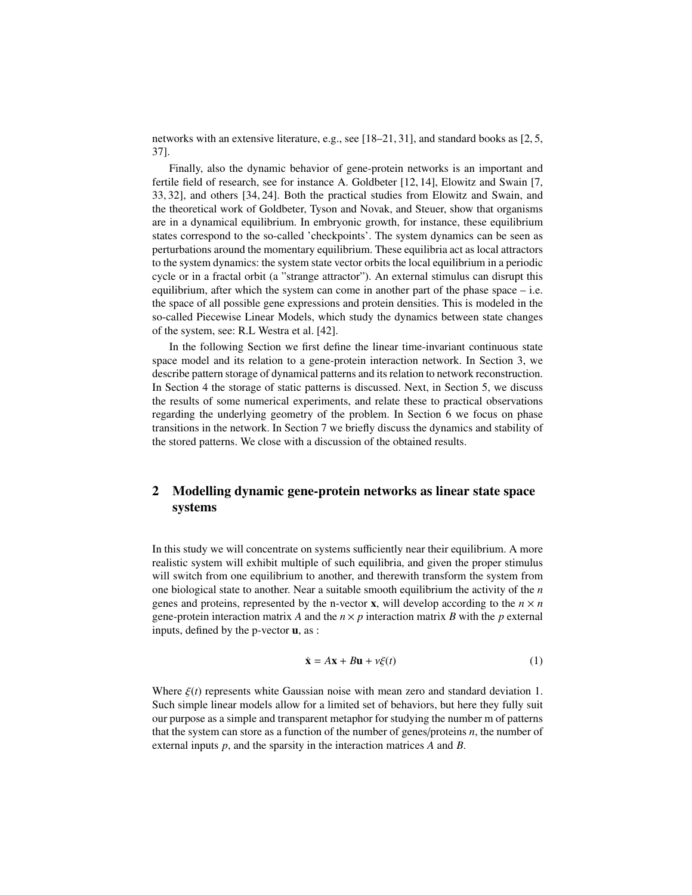networks with an extensive literature, e.g., see [18–21, 31], and standard books as [2, 5, 37].

Finally, also the dynamic behavior of gene-protein networks is an important and fertile field of research, see for instance A. Goldbeter [12, 14], Elowitz and Swain [7, 33, 32], and others [34, 24]. Both the practical studies from Elowitz and Swain, and the theoretical work of Goldbeter, Tyson and Novak, and Steuer, show that organisms are in a dynamical equilibrium. In embryonic growth, for instance, these equilibrium states correspond to the so-called 'checkpoints'. The system dynamics can be seen as perturbations around the momentary equilibrium. These equilibria act as local attractors to the system dynamics: the system state vector orbits the local equilibrium in a periodic cycle or in a fractal orbit (a "strange attractor"). An external stimulus can disrupt this equilibrium, after which the system can come in another part of the phase space  $-$  i.e. the space of all possible gene expressions and protein densities. This is modeled in the so-called Piecewise Linear Models, which study the dynamics between state changes of the system, see: R.L Westra et al. [42].

In the following Section we first define the linear time-invariant continuous state space model and its relation to a gene-protein interaction network. In Section 3, we describe pattern storage of dynamical patterns and its relation to network reconstruction. In Section 4 the storage of static patterns is discussed. Next, in Section 5, we discuss the results of some numerical experiments, and relate these to practical observations regarding the underlying geometry of the problem. In Section 6 we focus on phase transitions in the network. In Section 7 we briefly discuss the dynamics and stability of the stored patterns. We close with a discussion of the obtained results.

# 2 Modelling dynamic gene-protein networks as linear state space systems

In this study we will concentrate on systems sufficiently near their equilibrium. A more realistic system will exhibit multiple of such equilibria, and given the proper stimulus will switch from one equilibrium to another, and therewith transform the system from one biological state to another. Near a suitable smooth equilibrium the activity of the *n* genes and proteins, represented by the n-vector **x**, will develop according to the  $n \times n$ gene-protein interaction matrix *A* and the  $n \times p$  interaction matrix *B* with the *p* external inputs, defined by the p-vector u, as :

$$
\dot{\mathbf{x}} = A\mathbf{x} + B\mathbf{u} + \nu\xi(t) \tag{1}
$$

Where  $\xi(t)$  represents white Gaussian noise with mean zero and standard deviation 1. Such simple linear models allow for a limited set of behaviors, but here they fully suit our purpose as a simple and transparent metaphor for studying the number m of patterns that the system can store as a function of the number of genes/proteins *n*, the number of external inputs *p*, and the sparsity in the interaction matrices *A* and *B*.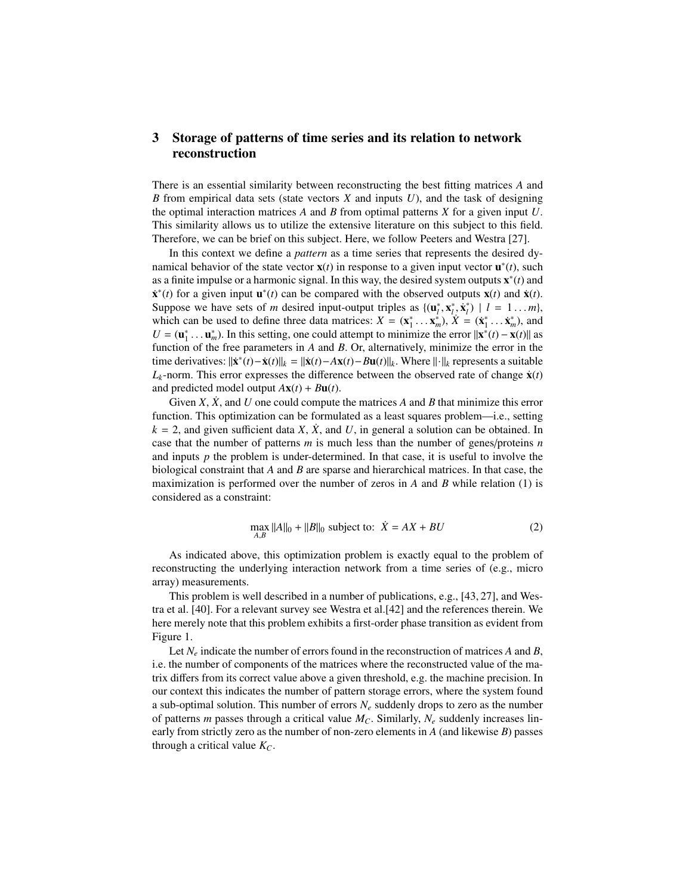## 3 Storage of patterns of time series and its relation to network reconstruction

There is an essential similarity between reconstructing the best fitting matrices *A* and *B* from empirical data sets (state vectors *X* and inputs *U*), and the task of designing the optimal interaction matrices *A* and *B* from optimal patterns *X* for a given input *U*. This similarity allows us to utilize the extensive literature on this subject to this field. Therefore, we can be brief on this subject. Here, we follow Peeters and Westra [27].

In this context we define a *pattern* as a time series that represents the desired dynamical behavior of the state vector  $\mathbf{x}(t)$  in response to a given input vector  $\mathbf{u}^*(t)$ , such as a finite impulse or a harmonic signal. In this way, the desired system outputs x ∗ (*t*) and  $\dot{x}^*(t)$  for a given input  $\mathbf{u}^*(t)$  can be compared with the observed outputs  $\mathbf{x}(t)$  and  $\dot{\mathbf{x}}(t)$ . Suppose we have sets of *m* desired input-output triples as  $\{(\mathbf{u}_l^*, \mathbf{x}_l^*, \dot{\mathbf{x}}_l^*) \mid l = 1...m\}$ , which can be used to define three data matrices:  $\mathbf{Y} = (\mathbf{x}^*, \mathbf{x}^*) \times \mathbf{Y} = (\dot{\mathbf{x}}^*, \dot{\mathbf{x}}^*)$  and which can be used to define three data matrices:  $X = (\mathbf{x}_1^*, \dots \mathbf{x}_m^*)$ ,  $\dot{X} = (\dot{\mathbf{x}}_1^*, \dots \dot{\mathbf{x}}_m^*)$ , and  $U = (\mathbf{u}^*, \mathbf{u}^*)$ . In this setting, one could attempt to minimize the error  $\|\mathbf{x}^*(t) - \mathbf{x}(t)\|$  as  $U = (\mathbf{u}_1^*, \dots \mathbf{u}_m^*)$ . In this setting, one could attempt to minimize the error  $||\mathbf{x}^*(t) - \mathbf{x}(t)||$  as function of the free parameters in A and B. Or alternatively minimize the error in the function of the free parameters in *A* and *B*. Or, alternatively, minimize the error in the time derivatives:  $\|\mathbf{x}^*(t) - \mathbf{x}(t)\|_{k} = \|\mathbf{x}(t) - A\mathbf{x}(t) - B\mathbf{u}(t)\|_{k}$ . Where  $\|\cdot\|_{k}$  represents a suitable  $L_k$ -norm. This error expresses the difference between the observed rate of change  $\dot{\mathbf{x}}(t)$ and predicted model output  $A**x**(*t*) + B**u**(*t*).$ 

Given *X*,  $\dot{X}$ , and *U* one could compute the matrices *A* and *B* that minimize this error function. This optimization can be formulated as a least squares problem—i.e., setting  $k = 2$ , and given sufficient data *X*,  $\dot{X}$ , and *U*, in general a solution can be obtained. In case that the number of patterns *m* is much less than the number of genes/proteins *n* and inputs  $p$  the problem is under-determined. In that case, it is useful to involve the biological constraint that *A* and *B* are sparse and hierarchical matrices. In that case, the maximization is performed over the number of zeros in *A* and *B* while relation (1) is considered as a constraint:

$$
\max_{A,B} ||A||_0 + ||B||_0 \text{ subject to: } \dot{X} = AX + BU \tag{2}
$$

As indicated above, this optimization problem is exactly equal to the problem of reconstructing the underlying interaction network from a time series of (e.g., micro array) measurements.

This problem is well described in a number of publications, e.g., [43, 27], and Westra et al. [40]. For a relevant survey see Westra et al.[42] and the references therein. We here merely note that this problem exhibits a first-order phase transition as evident from Figure 1.

Let  $N_e$  indicate the number of errors found in the reconstruction of matrices *A* and *B*, i.e. the number of components of the matrices where the reconstructed value of the matrix differs from its correct value above a given threshold, e.g. the machine precision. In our context this indicates the number of pattern storage errors, where the system found a sub-optimal solution. This number of errors  $N_e$  suddenly drops to zero as the number of patterns *m* passes through a critical value  $M<sub>C</sub>$ . Similarly,  $N<sub>e</sub>$  suddenly increases linearly from strictly zero as the number of non-zero elements in *A* (and likewise *B*) passes through a critical value *KC*.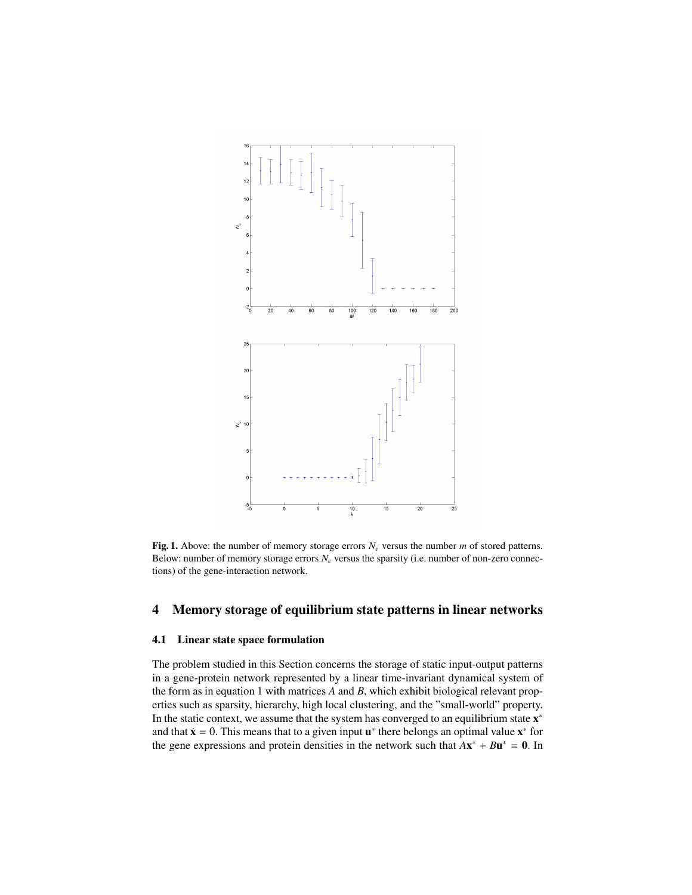

Fig. 1. Above: the number of memory storage errors  $N_e$  versus the number  $m$  of stored patterns. Below: number of memory storage errors *N<sup>e</sup>* versus the sparsity (i.e. number of non-zero connections) of the gene-interaction network.

# 4 Memory storage of equilibrium state patterns in linear networks

### 4.1 Linear state space formulation

The problem studied in this Section concerns the storage of static input-output patterns in a gene-protein network represented by a linear time-invariant dynamical system of the form as in equation 1 with matrices *A* and *B*, which exhibit biological relevant properties such as sparsity, hierarchy, high local clustering, and the "small-world" property. In the static context, we assume that the system has converged to an equilibrium state  $x^*$ and that  $\dot{x} = 0$ . This means that to a given input  $u^*$  there belongs an optimal value  $x^*$  for the gene expressions and protein densities in the network such that  $A x^* + B u^* = 0$ . In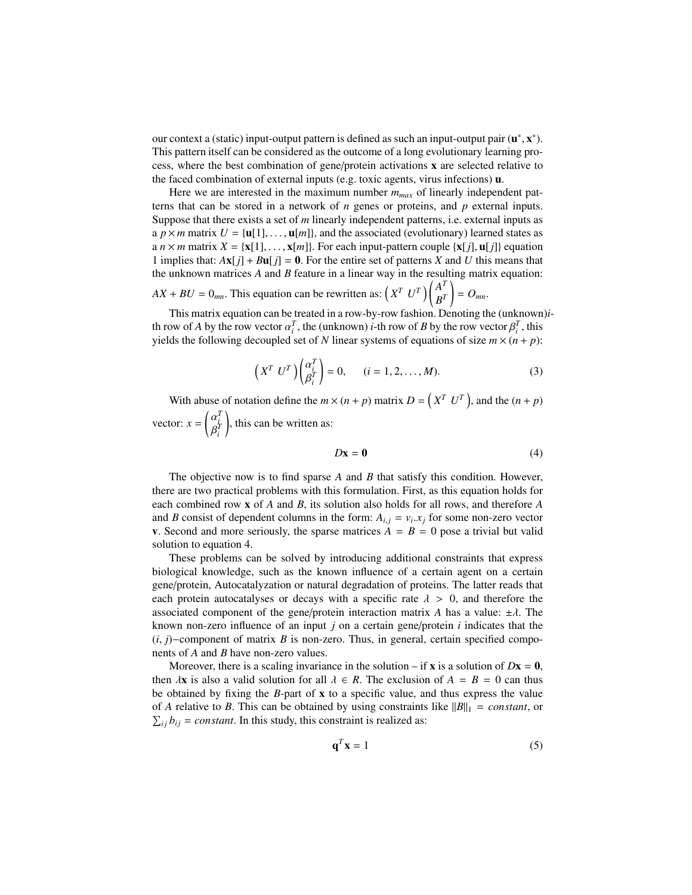our context a (static) input-output pattern is defined as such an input-output pair  $(\mathbf{u}^*, \mathbf{x}^*)$ .<br>This pattern itself can be considered as the outcome of a long evolutionary learning pro-This pattern itself can be considered as the outcome of a long evolutionary learning process, where the best combination of gene/protein activations x are selected relative to the faced combination of external inputs (e.g. toxic agents, virus infections) u.

Here we are interested in the maximum number *mmax* of linearly independent patterns that can be stored in a network of *n* genes or proteins, and *p* external inputs. Suppose that there exists a set of *m* linearly independent patterns, i.e. external inputs as a  $p \times m$  matrix  $U = {\bf{u}}[1], \dots, {\bf{u}}[m]$ , and the associated (evolutionary) learned states as a *n* × *m* matrix  $X = \{x[1], \ldots, x[m]\}\$ . For each input-pattern couple  $\{x[j], u[j]\}$  equation 1 implies that:  $A$ **x**[*j*] +  $B$ **u**[*j*] = 0. For the entire set of patterns *X* and *U* this means that the unknown matrices *A* and *B* feature in a linear way in the resulting matrix equation: ĺ *T* !

$$
AX + BU = 0_{mn}
$$
. This equation can be rewritten as:  $\left(X^T U^T\right) \begin{pmatrix} A^T \\ B^T \end{pmatrix} = O_{mn}$ .

This matrix equation can be treated in a row-by-row fashion. Denoting the (unknown)*i*th row of *A* by the row vector  $\alpha_i^T$ , the (unknown) *i*-th row of *B* by the row vector  $\beta_i^T$ , this vields the following decoupled set of *N* linear systems of equations of size  $m \times (n + n)$ . yields the following decoupled set of *N* linear systems of equations of size  $m \times (n + p)$ :

$$
\left(X^T U^T\right) \begin{pmatrix} \alpha_i^T \\ \beta_i^T \end{pmatrix} = 0, \qquad (i = 1, 2, \dots, M). \tag{3}
$$

With abuse of notation define the  $m \times (n + p)$  matrix  $D = \left(X^T U^T\right)$ , and the  $(n + p)$ vector:  $x = \left( \right)$ ້<br>R *T i T i* ), this can be written as:

$$
D\mathbf{x} = \mathbf{0} \tag{4}
$$

The objective now is to find sparse *A* and *B* that satisfy this condition. However, there are two practical problems with this formulation. First, as this equation holds for each combined row x of *A* and *B*, its solution also holds for all rows, and therefore *A* and *B* consist of dependent columns in the form:  $A_{i,j} = v_i.x_j$  for some non-zero vector<br>v. Second and more seriously the sparse matrices  $A = B = 0$  pose a trivial but valid **v**. Second and more seriously, the sparse matrices  $A = B = 0$  pose a trivial but valid solution to equation 4.

These problems can be solved by introducing additional constraints that express biological knowledge, such as the known influence of a certain agent on a certain gene/protein, Autocatalyzation or natural degradation of proteins. The latter reads that each protein autocatalyses or decays with a specific rate  $\lambda > 0$ , and therefore the associated component of the gene/protein interaction matrix *A* has a value:  $\pm \lambda$ . The known non-zero influence of an input *j* on a certain gene/protein *i* indicates that the (*i*, *<sup>j</sup>*)−component of matrix *<sup>B</sup>* is non-zero. Thus, in general, certain specified components of *A* and *B* have non-zero values.

Moreover, there is a scaling invariance in the solution – if **x** is a solution of  $Dx = 0$ , then  $\lambda$ **x** is also a valid solution for all  $\lambda \in R$ . The exclusion of  $A = B = 0$  can thus be obtained by fixing the *B*-part of x to a specific value, and thus express the value of *A* relative to *B*. This can be obtained by using constraints like  $||B||_1 = constant$ , or  $\sum_{ij} b_{ij} = constant$ . In this study, this constraint is realized as:

$$
\mathbf{q}^T \mathbf{x} = 1 \tag{5}
$$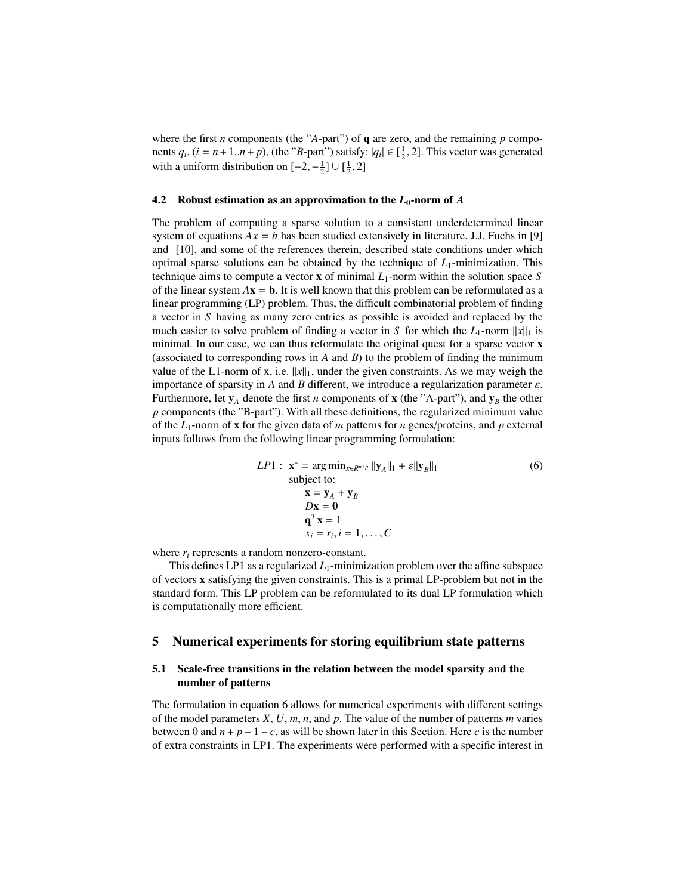where the first *n* components (the "*A*-part") of **q** are zero, and the remaining *p* components  $q_i$ ,  $(i = n+1..n+p)$ , (the "*B*-part") satisfy:  $|q_i| \in [\frac{1}{2}, 2]$ . This vector was generated with a uniform distribution on  $[-2, -1] \cup [1, 2]$ . with a uniform distribution on  $[-2, -\frac{1}{2}] \cup [\frac{1}{2}, 2]$ 

#### 4.2 Robust estimation as an approximation to the  $L_0$ -norm of  $A$

The problem of computing a sparse solution to a consistent underdetermined linear system of equations  $Ax = b$  has been studied extensively in literature. J.J. Fuchs in [9] and [10], and some of the references therein, described state conditions under which optimal sparse solutions can be obtained by the technique of  $L_1$ -minimization. This technique aims to compute a vector **x** of minimal  $L_1$ -norm within the solution space *S* of the linear system  $Ax = b$ . It is well known that this problem can be reformulated as a linear programming (LP) problem. Thus, the difficult combinatorial problem of finding a vector in *S* having as many zero entries as possible is avoided and replaced by the much easier to solve problem of finding a vector in *S* for which the  $L_1$ -norm  $||x||_1$  is minimal. In our case, we can thus reformulate the original quest for a sparse vector x (associated to corresponding rows in *A* and *B*) to the problem of finding the minimum value of the L1-norm of x, i.e.  $||x||_1$ , under the given constraints. As we may weigh the importance of sparsity in *<sup>A</sup>* and *<sup>B</sup>* different, we introduce a regularization parameter ε. Furthermore, let  $y_A$  denote the first *n* components of **x** (the "A-part"), and  $y_B$  the other *p* components (the "B-part"). With all these definitions, the regularized minimum value of the *L*1-norm of x for the given data of *m* patterns for *n* genes/proteins, and *p* external inputs follows from the following linear programming formulation:

$$
LP1: \mathbf{x}^* = \arg\min_{x \in R^{n+p}} ||\mathbf{y}_A||_1 + \varepsilon ||\mathbf{y}_B||_1
$$
  
\nsubject to:  
\n
$$
\mathbf{x} = \mathbf{y}_A + \mathbf{y}_B
$$
  
\n
$$
D\mathbf{x} = \mathbf{0}
$$
  
\n
$$
\mathbf{q}^T \mathbf{x} = 1
$$
  
\n
$$
x_i = r_i, i = 1, ..., C
$$
 (6)

where  $r_i$  represents a random nonzero-constant.

This defines LP1 as a regularized  $L_1$ -minimization problem over the affine subspace of vectors x satisfying the given constraints. This is a primal LP-problem but not in the standard form. This LP problem can be reformulated to its dual LP formulation which is computationally more efficient.

#### 5 Numerical experiments for storing equilibrium state patterns

### 5.1 Scale-free transitions in the relation between the model sparsity and the number of patterns

The formulation in equation 6 allows for numerical experiments with different settings of the model parameters *X*, *U*, *m*, *n*, and *p*. The value of the number of patterns *m* varies between 0 and  $n + p - 1 - c$ , as will be shown later in this Section. Here *c* is the number of extra constraints in LP1. The experiments were performed with a specific interest in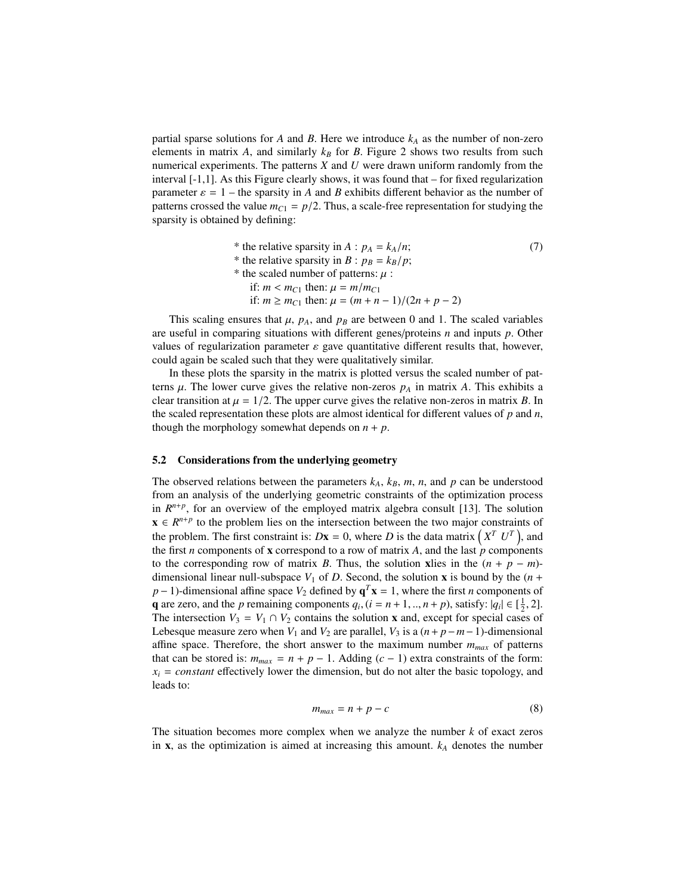partial sparse solutions for *A* and *B*. Here we introduce  $k_A$  as the number of non-zero elements in matrix  $A$ , and similarly  $k_B$  for  $B$ . Figure 2 shows two results from such numerical experiments. The patterns *X* and *U* were drawn uniform randomly from the interval [-1,1]. As this Figure clearly shows, it was found that – for fixed regularization parameter  $\varepsilon = 1$  – the sparsity in *A* and *B* exhibits different behavior as the number of patterns crossed the value  $m_{C1} = p/2$ . Thus, a scale-free representation for studying the sparsity is obtained by defining:

| * the relative sparsity in A : $p_A = k_A/n$ ;            | (7) |
|-----------------------------------------------------------|-----|
| * the relative sparsity in B : $p_B = k_B/p$ ;            |     |
| * the scaled number of patterns: $\mu$ :                  |     |
| if: $m < m_{C1}$ then: $\mu = m/m_{C1}$                   |     |
| if: $m \ge m_{C1}$ then: $\mu = (m + n - 1)/(2n + p - 2)$ |     |
|                                                           |     |

This scaling ensures that  $\mu$ ,  $p_A$ , and  $p_B$  are between 0 and 1. The scaled variables are useful in comparing situations with different genes/proteins *n* and inputs *p*. Other values of regularization parameter  $\varepsilon$  gave quantitative different results that, however, could again be scaled such that they were qualitatively similar.

In these plots the sparsity in the matrix is plotted versus the scaled number of patterns  $\mu$ . The lower curve gives the relative non-zeros  $p_A$  in matrix A. This exhibits a clear transition at  $\mu = 1/2$ . The upper curve gives the relative non-zeros in matrix *B*. In the scaled representation these plots are almost identical for different values of *p* and *n*, though the morphology somewhat depends on  $n + p$ .

#### 5.2 Considerations from the underlying geometry

The observed relations between the parameters  $k_A$ ,  $k_B$ ,  $m$ ,  $n$ , and  $p$  can be understood from an analysis of the underlying geometric constraints of the optimization process in  $R^{n+p}$ , for an overview of the employed matrix algebra consult [13]. The solution  $x \in R^{n+p}$  to the problem lies on the intersection between the two major constraints of the problem. The first constraint is:  $Dx = 0$ , where *D* is the data matrix  $(X^T U^T)$ , and the first *n* components of **x** correspond to a row of matrix *A*, and the last  $\dot{p}$  components to the corresponding row of matrix *B*. Thus, the solution xlies in the  $(n + p - m)$ dimensional linear null-subspace  $V_1$  of *D*. Second, the solution **x** is bound by the  $(n +$ *p* − 1)-dimensional affine space  $V_2$  defined by  $\mathbf{q}^T \mathbf{x} = 1$ , where the first *n* components of **q** are zero, and the *p* remaining components  $q_i$ ,  $(i = n + 1, ..., n + p)$ , satisfy:  $|q_i| \in \left[\frac{1}{2}, 2\right]$ .<br>The intersection  $V_2 = V_1 \cap V_2$  contains the solution **x** and except for special cases of The intersection  $V_3 = V_1 \cap V_2$  contains the solution **x** and, except for special cases of Lebesque measure zero when  $V_1$  and  $V_2$  are parallel,  $V_3$  is a  $(n+p-m-1)$ -dimensional affine space. Therefore, the short answer to the maximum number *mmax* of patterns that can be stored is:  $m_{max} = n + p - 1$ . Adding  $(c - 1)$  extra constraints of the form:  $x_i = constant$  effectively lower the dimension, but do not alter the basic topology, and leads to:

$$
m_{max} = n + p - c \tag{8}
$$

The situation becomes more complex when we analyze the number *k* of exact zeros in  $x$ , as the optimization is aimed at increasing this amount.  $k_A$  denotes the number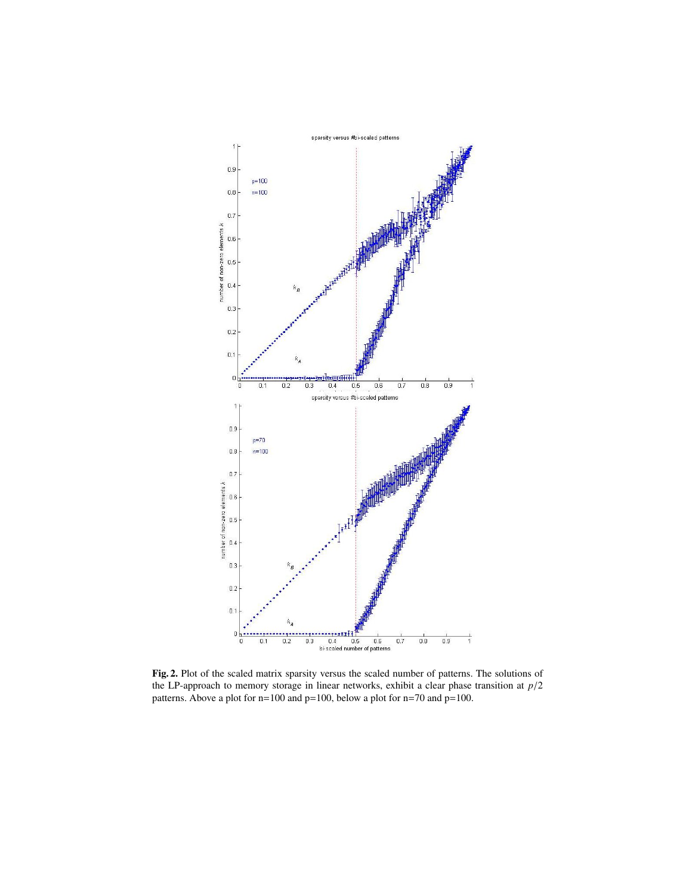

Fig. 2. Plot of the scaled matrix sparsity versus the scaled number of patterns. The solutions of the LP-approach to memory storage in linear networks, exhibit a clear phase transition at *<sup>p</sup>*/<sup>2</sup> patterns. Above a plot for n=100 and p=100, below a plot for n=70 and p=100.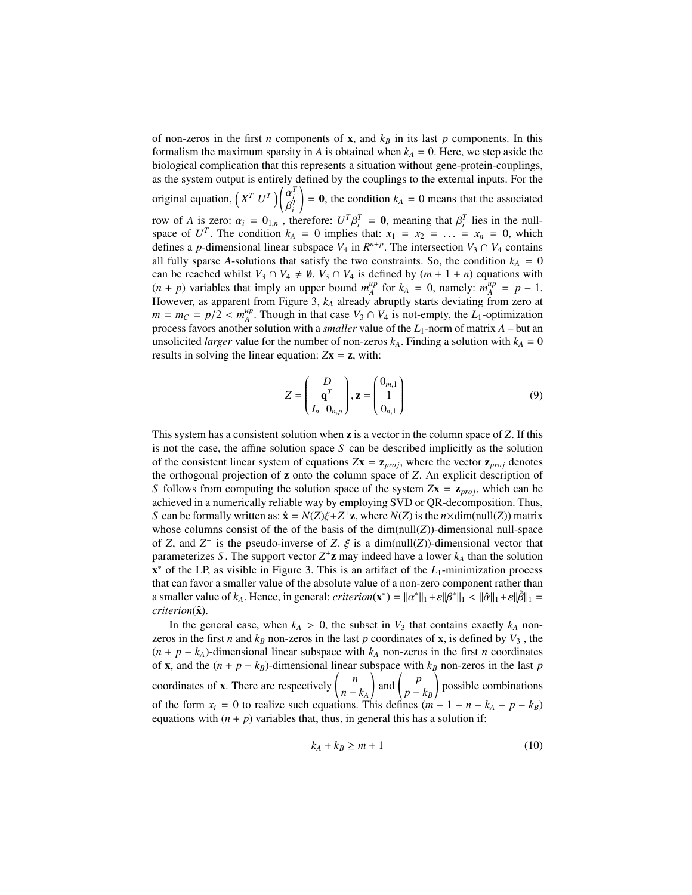of non-zeros in the first *n* components of **x**, and  $k<sub>B</sub>$  in its last *p* components. In this formalism the maximum sparsity in *A* is obtained when  $k_A = 0$ . Here, we step aside the biological complication that this represents a situation without gene-protein-couplings, as the system output is entirely defined by the couplings to the external inputs. For the original equation,  $(X^T U^T)$  $\overline{R}$ *T i T i* row of *A* is zero:  $\alpha_i = 0_{1,n}$ , therefore:  $U^T \beta_i^T = 0$ , meaning that  $\beta_i^T$  lies in the null-<br>space of  $U^T$ . The condition  $k_i = 0$  implies that:  $x_i = x_i = -1$ ,  $x_i = 0$ , which  $= 0$ , the condition  $k_A = 0$  means that the associated space of  $U^T$ . The condition  $k_A = 0$  implies that:  $x_1 = x_2 = \ldots = x_n = 0$ , which defines a *p*-dimensional linear subspace  $V_4$  in  $R^{n+p}$ . The intersection  $V_3 \cap V_4$  contains all fully sparse *A*-solutions that satisfy the two constraints. So, the condition  $k_A = 0$ can be reached whilst  $V_3 \cap V_4 \neq \emptyset$ .  $V_3 \cap V_4$  is defined by  $(m + 1 + n)$  equations with  $(n + p)$  variables that imply an upper bound  $m_A^{up}$  $_{A}^{up}$  for  $k_A = 0$ , namely:  $m_A^{up}$  $_{A}^{up} = p - 1.$ However, as apparent from Figure 3, *k<sup>A</sup>* already abruptly starts deviating from zero at  $m = m_C = p/2 < m_A^{up}$ <br>process favors another  $A^{\mu}$ . Though in that case  $V_3 \cap V_4$  is not-empty, the *L*<sub>1</sub>-optimization process favors another solution with a *smaller* value of the *L*1-norm of matrix *A* – but an unsolicited *larger* value for the number of non-zeros  $k_A$ . Finding a solution with  $k_A = 0$ results in solving the linear equation:  $Zx = z$ , with:

$$
Z = \begin{pmatrix} D \\ \mathbf{q}^T \\ I_n & 0_{n,p} \end{pmatrix}, \mathbf{z} = \begin{pmatrix} 0_{m,1} \\ 1 \\ 0_{n,1} \end{pmatrix}
$$
 (9)

This system has a consistent solution when z is a vector in the column space of *Z*. If this is not the case, the affine solution space *S* can be described implicitly as the solution of the consistent linear system of equations  $Zx = z_{proj}$ , where the vector  $z_{proj}$  denotes the orthogonal projection of z onto the column space of *Z*. An explicit description of *S* follows from computing the solution space of the system  $Zx = z_{proj}$ , which can be achieved in a numerically reliable way by employing SVD or QR-decomposition. Thus, *S* can be formally written as:  $\hat{\mathbf{x}} = N(Z)\xi + Z^+ \mathbf{z}$ , where  $N(Z)$  is the *n*×dim(null(*Z*)) matrix whose columns consist of the of the basis of the dim(null(*Z*)) dimensional null-space whose columns consist of the of the basis of the  $dim(null(Z))$ -dimensional null-space of *Z*, and *Z*<sup>+</sup> is the pseudo-inverse of *Z*.  $\xi$  is a dim(null(*Z*))-dimensional vector that parameterizes *S*. The support vector  $7^+$ **z** may indeed have a lower *k*, than the solution parameterizes S. The support vector  $Z^+$ **z** may indeed have a lower  $k_A$  than the solution x <sup>∗</sup> of the LP, as visible in Figure 3. This is an artifact of the *L*1-minimization process that can favor a smaller value of the absolute value of a non-zero component rather than a smaller value of  $k_A$ . Hence, in general: *criterion*( $\mathbf{x}^*$ ) =  $||\alpha^*||_1 + \varepsilon ||\beta^*||_1 < ||\hat{\alpha}||_1 + \varepsilon ||\hat{\beta}||_1 =$ <br>*criterion*( $\hat{\mathbf{x}}$ ) *criterion*( $\hat{\mathbf{x}}$ ).

In the general case, when  $k_A > 0$ , the subset in  $V_3$  that contains exactly  $k_A$  nonzeros in the first *n* and  $k_B$  non-zeros in the last *p* coordinates of **x**, is defined by  $V_3$ , the  $(n + p - k_A)$ -dimensional linear subspace with  $k_A$  non-zeros in the first *n* coordinates of **x**, and the  $(n + p - k_B)$ -dimensional linear subspace with  $k_B$  non-zeros in the last *p* coordinates of **x**. There are respectively  $\begin{pmatrix} n \\ n \end{pmatrix}$ *n* − *k<sup>A</sup>*  $\int$  and  $\int$   $\int$ <sup>p</sup> *p* − *k<sup>B</sup>* ! possible combinations of the form  $x_i = 0$  to realize such equations. This defines  $(m + 1 + n - k_A + p - k_B)$ equations with  $(n + p)$  variables that, thus, in general this has a solution if:

$$
k_A + k_B \ge m + 1 \tag{10}
$$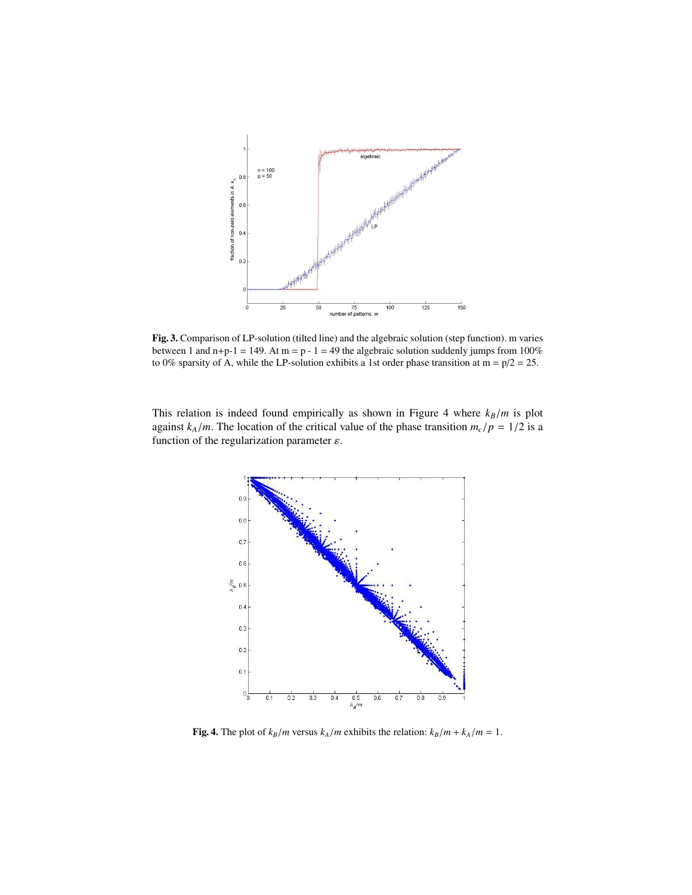

Fig. 3. Comparison of LP-solution (tilted line) and the algebraic solution (step function). m varies between 1 and n+p-1 = 149. At m = p - 1 = 49 the algebraic solution suddenly jumps from 100% to 0% sparsity of A, while the LP-solution exhibits a 1st order phase transition at m =  $p/2 = 25$ .

This relation is indeed found empirically as shown in Figure 4 where *<sup>k</sup><sup>B</sup>*/*<sup>m</sup>* is plot against  $k_A/m$ . The location of the critical value of the phase transition  $m_c/p = 1/2$  is a function of the regularization parameter  $\varepsilon$ .



Fig. 4. The plot of  $k_B/m$  versus  $k_A/m$  exhibits the relation:  $k_B/m + k_A/m = 1$ .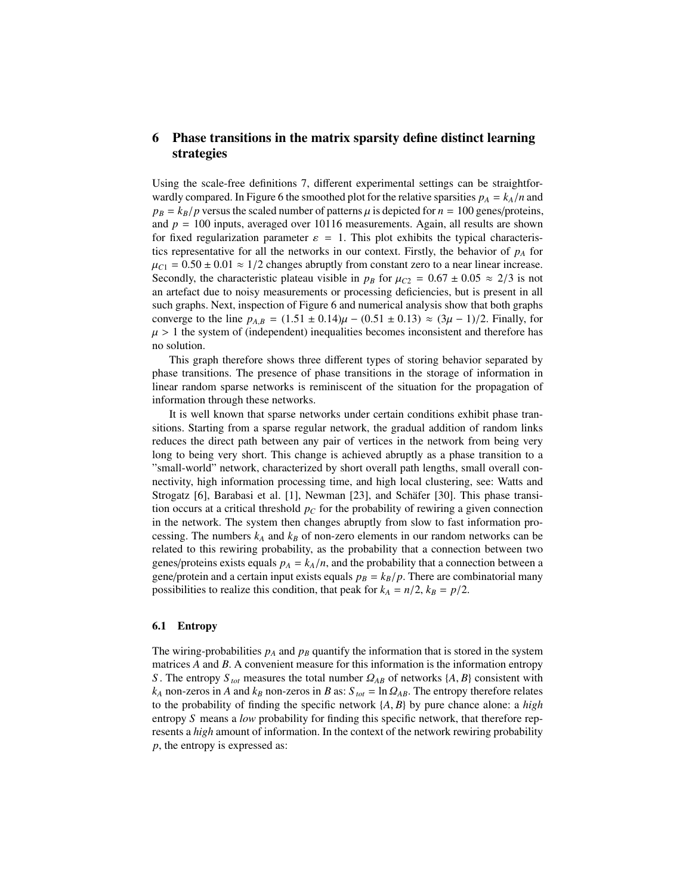## 6 Phase transitions in the matrix sparsity define distinct learning strategies

Using the scale-free definitions 7, different experimental settings can be straightforwardly compared. In Figure 6 the smoothed plot for the relative sparsities  $p_A = k_A/n$  and  $p_B = k_B/p$  versus the scaled number of patterns  $\mu$  is depicted for  $n = 100$  genes/proteins, and  $p = 100$  inputs, averaged over 10116 measurements. Again, all results are shown for fixed regularization parameter  $\varepsilon = 1$ . This plot exhibits the typical characteristics representative for all the networks in our context. Firstly, the behavior of  $p_A$  for  $\mu_{C1} = 0.50 \pm 0.01 \approx 1/2$  changes abruptly from constant zero to a near linear increase. Secondly, the characteristic plateau visible in  $p_B$  for  $\mu_{C2} = 0.67 \pm 0.05 \approx 2/3$  is not an artefact due to noisy measurements or processing deficiencies, but is present in all such graphs. Next, inspection of Figure 6 and numerical analysis show that both graphs converge to the line  $p_{A,B} = (1.51 \pm 0.14)\mu - (0.51 \pm 0.13) \approx (3\mu - 1)/2$ . Finally, for  $\mu > 1$  the system of (independent) inequalities becomes inconsistent and therefore has no solution.

This graph therefore shows three different types of storing behavior separated by phase transitions. The presence of phase transitions in the storage of information in linear random sparse networks is reminiscent of the situation for the propagation of information through these networks.

It is well known that sparse networks under certain conditions exhibit phase transitions. Starting from a sparse regular network, the gradual addition of random links reduces the direct path between any pair of vertices in the network from being very long to being very short. This change is achieved abruptly as a phase transition to a "small-world" network, characterized by short overall path lengths, small overall connectivity, high information processing time, and high local clustering, see: Watts and Strogatz [6], Barabasi et al. [1], Newman [23], and Schäfer [30]. This phase transition occurs at a critical threshold  $p<sub>C</sub>$  for the probability of rewiring a given connection in the network. The system then changes abruptly from slow to fast information processing. The numbers  $k_A$  and  $k_B$  of non-zero elements in our random networks can be related to this rewiring probability, as the probability that a connection between two genes/proteins exists equals  $p_A = k_A/n$ , and the probability that a connection between a gene/protein and a certain input exists equals  $p_B = k_B/p$ . There are combinatorial many possibilities to realize this condition, that peak for  $k_A = n/2$ ,  $k_B = p/2$ .

#### 6.1 Entropy

The wiring-probabilities  $p_A$  and  $p_B$  quantify the information that is stored in the system matrices *A* and *B*. A convenient measure for this information is the information entropy *S*. The entropy  $S_{tot}$  measures the total number  $\Omega_{AB}$  of networks  $\{A, B\}$  consistent with  $k_A$  non-zeros in *A* and  $k_B$  non-zeros in *B* as:  $S_{tot} = \ln \Omega_{AB}$ . The entropy therefore relates to the probability of finding the specific network {*A*, *<sup>B</sup>*} by pure chance alone: a *high* entropy *S* means a *low* probability for finding this specific network, that therefore represents a *high* amount of information. In the context of the network rewiring probability *p*, the entropy is expressed as: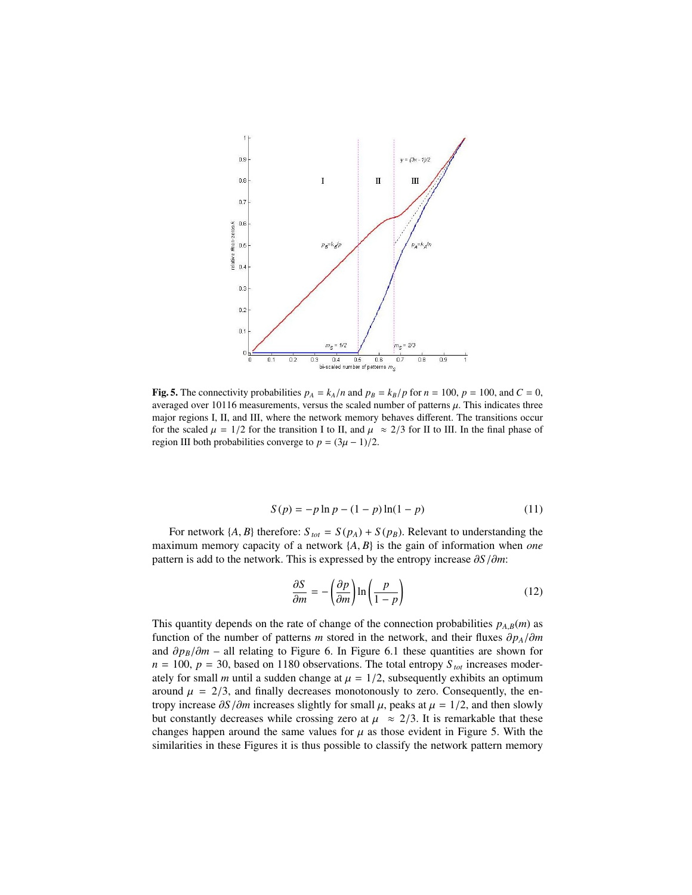

**Fig. 5.** The connectivity probabilities  $p_A = k_A/n$  and  $p_B = k_B/p$  for  $n = 100$ ,  $p = 100$ , and  $C = 0$ , averaged over 10116 measurements, versus the scaled number of patterns  $\mu$ . This indicates three major regions I, II, and III, where the network memory behaves different. The transitions occur for the scaled  $\mu = 1/2$  for the transition I to II, and  $\mu \approx 2/3$  for II to III. In the final phase of region III both probabilities converge to  $p = (3\mu - 1)/2$ .

$$
S(p) = -p \ln p - (1 - p) \ln(1 - p) \tag{11}
$$

For network  $\{A, B\}$  therefore:  $S_{tot} = S(p_A) + S(p_B)$ . Relevant to understanding the maximum memory capacity of a network {*A*, *<sup>B</sup>*} is the gain of information when *one* pattern is add to the network. This is expressed by the entropy increase ∂*S*/∂*m*:

$$
\frac{\partial S}{\partial m} = -\left(\frac{\partial p}{\partial m}\right) \ln \left(\frac{p}{1-p}\right) \tag{12}
$$

This quantity depends on the rate of change of the connection probabilities  $p_{A,B}(m)$  as function of the number of patterns *m* stored in the network, and their fluxes  $\partial p_A/\partial m$ and  $\partial p_B/\partial m$  – all relating to Figure 6. In Figure 6.1 these quantities are shown for  $n = 100$ ,  $p = 30$ , based on 1180 observations. The total entropy  $S_{tot}$  increases moderately for small *m* until a sudden change at  $\mu = 1/2$ , subsequently exhibits an optimum around  $\mu = 2/3$ , and finally decreases monotonously to zero. Consequently, the entropy increase  $\partial S/\partial m$  increases slightly for small  $\mu$ , peaks at  $\mu = 1/2$ , and then slowly but constantly decreases while crossing zero at  $\mu \approx 2/3$ . It is remarkable that these changes happen around the same values for  $\mu$  as those evident in Figure 5. With the similarities in these Figures it is thus possible to classify the network pattern memory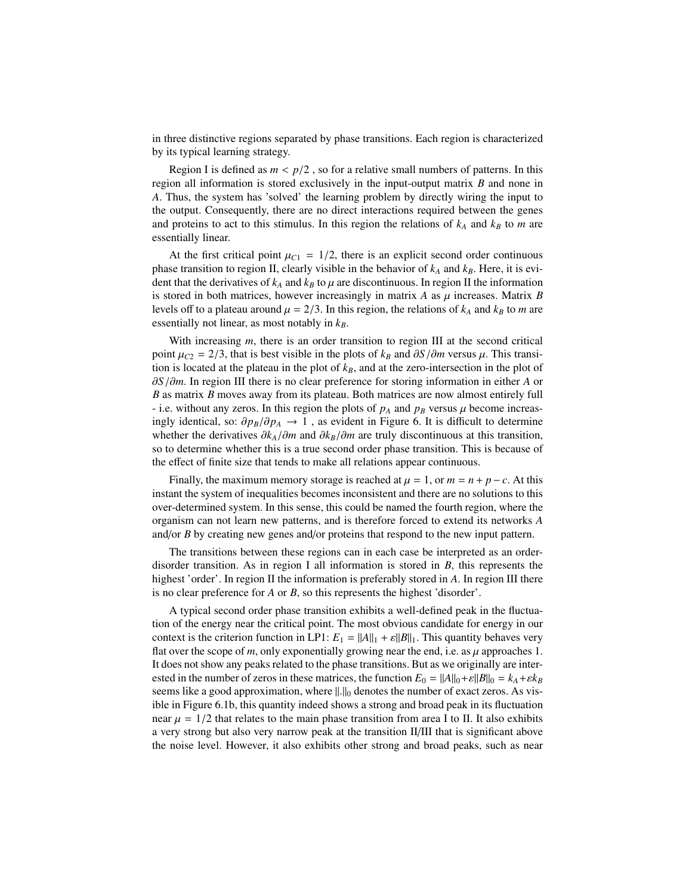in three distinctive regions separated by phase transitions. Each region is characterized by its typical learning strategy.

Region I is defined as  $m < p/2$ , so for a relative small numbers of patterns. In this region all information is stored exclusively in the input-output matrix *B* and none in *A*. Thus, the system has 'solved' the learning problem by directly wiring the input to the output. Consequently, there are no direct interactions required between the genes and proteins to act to this stimulus. In this region the relations of  $k_A$  and  $k_B$  to  $m$  are essentially linear.

At the first critical point  $\mu_{C1} = 1/2$ , there is an explicit second order continuous phase transition to region II, clearly visible in the behavior of  $k_A$  and  $k_B$ . Here, it is evident that the derivatives of  $k_A$  and  $k_B$  to  $\mu$  are discontinuous. In region II the information is stored in both matrices, however increasingly in matrix  $A$  as  $\mu$  increases. Matrix  $B$ levels off to a plateau around  $\mu = 2/3$ . In this region, the relations of  $k_A$  and  $k_B$  to *m* are essentially not linear, as most notably in *kB*.

With increasing *m*, there is an order transition to region III at the second critical point  $\mu_{C2} = 2/3$ , that is best visible in the plots of  $k_B$  and  $\partial S/\partial m$  versus  $\mu$ . This transition is located at the plateau in the plot of  $k_B$ , and at the zero-intersection in the plot of ∂*S*/∂*m*. In region III there is no clear preference for storing information in either *<sup>A</sup>* or *B* as matrix *B* moves away from its plateau. Both matrices are now almost entirely full - i.e. without any zeros. In this region the plots of  $p_A$  and  $p_B$  versus  $\mu$  become increasingly identical, so:  $\partial p_B/\partial p_A$  → 1, as evident in Figure 6. It is difficult to determine whether the derivatives ∂*k<sup>A</sup>*/∂*<sup>m</sup>* and ∂*k<sup>B</sup>*/∂*<sup>m</sup>* are truly discontinuous at this transition, so to determine whether this is a true second order phase transition. This is because of the effect of finite size that tends to make all relations appear continuous.

Finally, the maximum memory storage is reached at  $\mu = 1$ , or  $m = n + p - c$ . At this instant the system of inequalities becomes inconsistent and there are no solutions to this over-determined system. In this sense, this could be named the fourth region, where the organism can not learn new patterns, and is therefore forced to extend its networks *A* and/or *B* by creating new genes and/or proteins that respond to the new input pattern.

The transitions between these regions can in each case be interpreted as an orderdisorder transition. As in region I all information is stored in *B*, this represents the highest 'order'. In region II the information is preferably stored in A. In region III there is no clear preference for *A* or *B*, so this represents the highest 'disorder'.

A typical second order phase transition exhibits a well-defined peak in the fluctuation of the energy near the critical point. The most obvious candidate for energy in our context is the criterion function in LP1:  $E_1 = ||A||_1 + \varepsilon||B||_1$ . This quantity behaves very flat over the scope of  $m$ , only exponentially growing near the end, i.e. as  $\mu$  approaches 1. It does not show any peaks related to the phase transitions. But as we originally are interested in the number of zeros in these matrices, the function  $E_0 = ||A||_0 + \varepsilon ||B||_0 = k_A + \varepsilon k_B$ seems like a good approximation, where  $\|.\|_0$  denotes the number of exact zeros. As visible in Figure 6.1b, this quantity indeed shows a strong and broad peak in its fluctuation near  $\mu = 1/2$  that relates to the main phase transition from area I to II. It also exhibits a very strong but also very narrow peak at the transition II/III that is significant above the noise level. However, it also exhibits other strong and broad peaks, such as near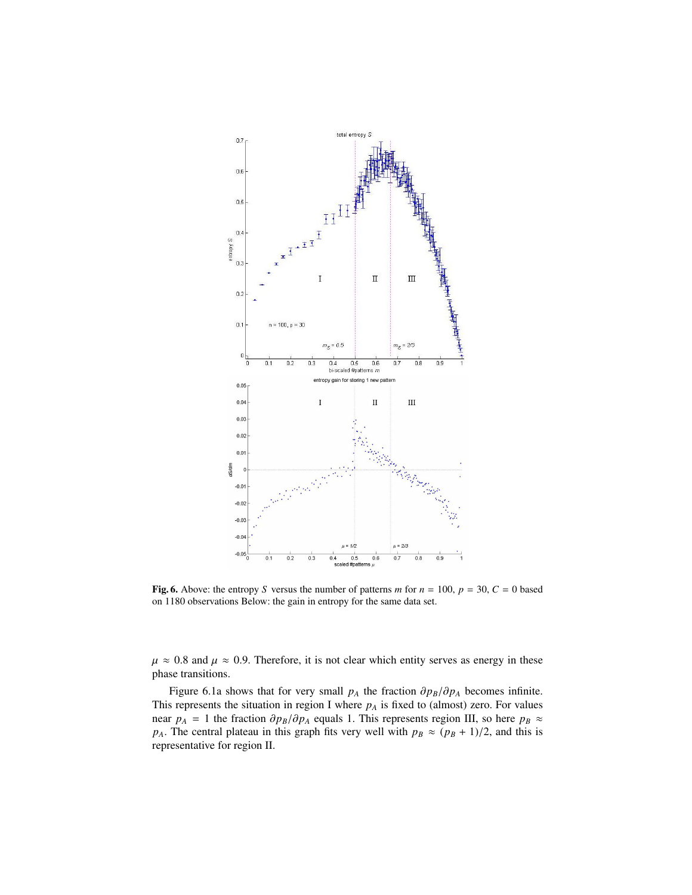

Fig. 6. Above: the entropy *S* versus the number of patterns *m* for  $n = 100$ ,  $p = 30$ ,  $C = 0$  based on 1180 observations Below: the gain in entropy for the same data set.

 $\mu \approx 0.8$  and  $\mu \approx 0.9$ . Therefore, it is not clear which entity serves as energy in these phase transitions.

Figure 6.1a shows that for very small  $p_A$  the fraction  $\partial p_B/\partial p_A$  becomes infinite. This represents the situation in region I where  $p_A$  is fixed to (almost) zero. For values near  $p_A = 1$  the fraction  $\partial p_B / \partial p_A$  equals 1. This represents region III, so here  $p_B \approx$ *p<sub>A</sub>*. The central plateau in this graph fits very well with  $p_B \approx (p_B + 1)/2$ , and this is representative for region II.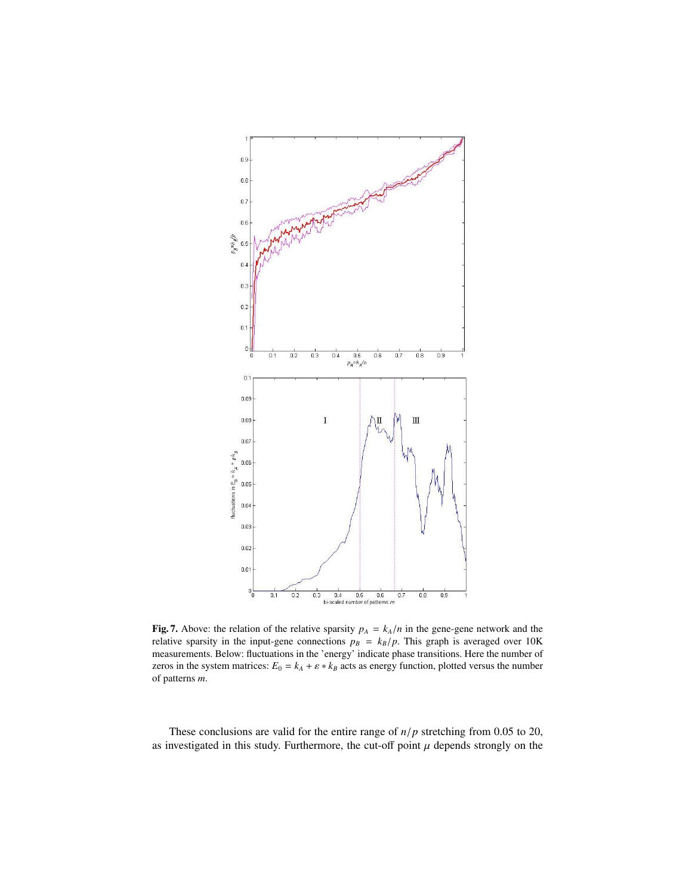

Fig. 7. Above: the relation of the relative sparsity  $p_A = k_A/n$  in the gene-gene network and the relative sparsity in the input-gene connections  $p_B = k_B/p$ . This graph is averaged over 10K measurements. Below: fluctuations in the 'energy' indicate phase transitions. Here the number of zeros in the system matrices:  $E_0 = k_A + \varepsilon * k_B$  acts as energy function, plotted versus the number of patterns *m*.

These conclusions are valid for the entire range of *<sup>n</sup>*/*<sup>p</sup>* stretching from 0.05 to 20, as investigated in this study. Furthermore, the cut-off point  $\mu$  depends strongly on the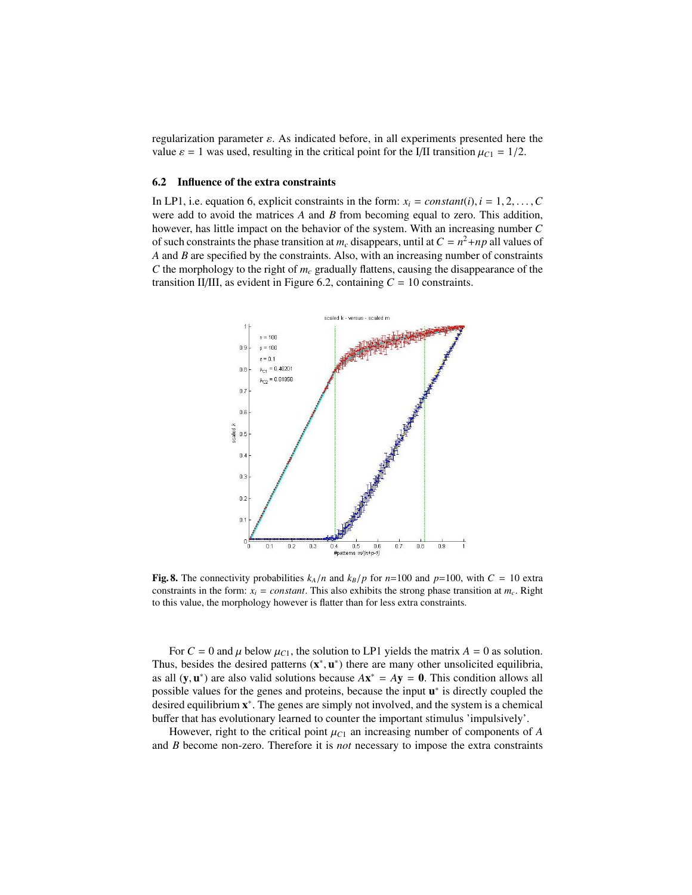regularization parameter  $\varepsilon$ . As indicated before, in all experiments presented here the value  $\varepsilon = 1$  was used, resulting in the critical point for the I/II transition  $\mu_{C1} = 1/2$ .

#### 6.2 Influence of the extra constraints

In LP1, i.e. equation 6, explicit constraints in the form:  $x_i = constant(i), i = 1, 2, \ldots, C$ were add to avoid the matrices *A* and *B* from becoming equal to zero. This addition, however, has little impact on the behavior of the system. With an increasing number *C* of such constraints the phase transition at  $m_c$  disappears, until at  $C = n^2 + np$  all values of *A* and *B* are specified by the constraints. Also, with an increasing number of constraints *C* the morphology to the right of *m<sup>c</sup>* gradually flattens, causing the disappearance of the transition II/III, as evident in Figure 6.2, containing  $C = 10$  constraints.



Fig. 8. The connectivity probabilities  $k_A/n$  and  $k_B/p$  for  $n=100$  and  $p=100$ , with  $C = 10$  extra constraints in the form:  $x_i = constant$ . This also exhibits the strong phase transition at  $m_c$ . Right to this value, the morphology however is flatter than for less extra constraints.

For  $C = 0$  and  $\mu$  below  $\mu_{C1}$ , the solution to LP1 yields the matrix  $A = 0$  as solution. Thus, besides the desired patterns  $(x^*, u^*)$  there are many other unsolicited equilibria,<br>as all  $(x, u^*)$  are also valid solutions because  $Ax^* = Ay = 0$ . This condition allows all as all  $(y, u^*)$  are also valid solutions because  $Ax^* = Ay = 0$ . This condition allows all<br>possible values for the genes and proteins, because the input  $u^*$  is directly coupled the possible values for the genes and proteins, because the input  $u^*$  is directly coupled the desired equilibrium  $x^*$ . The genes are simply not involved, and the system is a chemical buffer that has evolutionary learned to counter the important stimulus 'impulsively'.

However, right to the critical point  $\mu_{C1}$  an increasing number of components of *A* and *B* become non-zero. Therefore it is *not* necessary to impose the extra constraints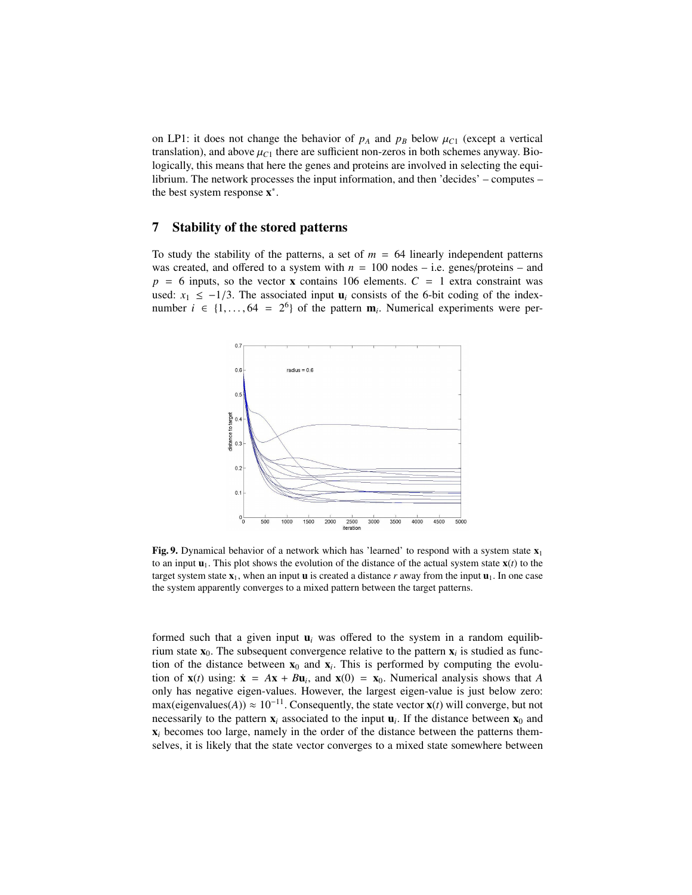on LP1: it does not change the behavior of  $p_A$  and  $p_B$  below  $\mu_{C1}$  (except a vertical translation), and above  $\mu_{C1}$  there are sufficient non-zeros in both schemes anyway. Biologically, this means that here the genes and proteins are involved in selecting the equilibrium. The network processes the input information, and then 'decides' – computes – the best system response  $x^*$ .

### 7 Stability of the stored patterns

To study the stability of the patterns, a set of  $m = 64$  linearly independent patterns was created, and offered to a system with  $n = 100$  nodes – i.e. genes/proteins – and  $p = 6$  inputs, so the vector **x** contains 106 elements.  $C = 1$  extra constraint was used:  $x_1 \le -1/3$ . The associated input  $\mathbf{u}_i$  consists of the 6-bit coding of the indexnumber  $i \in \{1, ..., 64 = 2^6\}$  of the pattern  $\mathbf{m}_i$ . Numerical experiments were per-



Fig. 9. Dynamical behavior of a network which has 'learned' to respond with a system state  $x_1$ to an input  $\mathbf{u}_1$ . This plot shows the evolution of the distance of the actual system state  $\mathbf{x}(t)$  to the target system state  $x_1$ , when an input **u** is created a distance *r* away from the input  $\mathbf{u}_1$ . In one case the system apparently converges to a mixed pattern between the target patterns.

formed such that a given input  $\mathbf{u}_i$  was offered to the system in a random equilibrium state  $x_0$ . The subsequent convergence relative to the pattern  $x_i$  is studied as function of the distance between  $x_0$  and  $x_i$ . This is performed by computing the evolution of  $\mathbf{x}(t)$  using:  $\dot{\mathbf{x}} = A\mathbf{x} + B\mathbf{u}_i$ , and  $\mathbf{x}(0) = \mathbf{x}_0$ . Numerical analysis shows that *A* only has negative eigen-values. However, the largest eigen-value is just below zero: max(eigenvalues(*A*))  $\approx 10^{-11}$ . Consequently, the state vector **x**(*t*) will converge, but not necessarily to the pattern  $\mathbf{x}_i$  associated to the input  $\mathbf{u}_i$ . If the distance between  $\mathbf{x}_0$  and  $x_i$  becomes too large, namely in the order of the distance between the patterns themselves, it is likely that the state vector converges to a mixed state somewhere between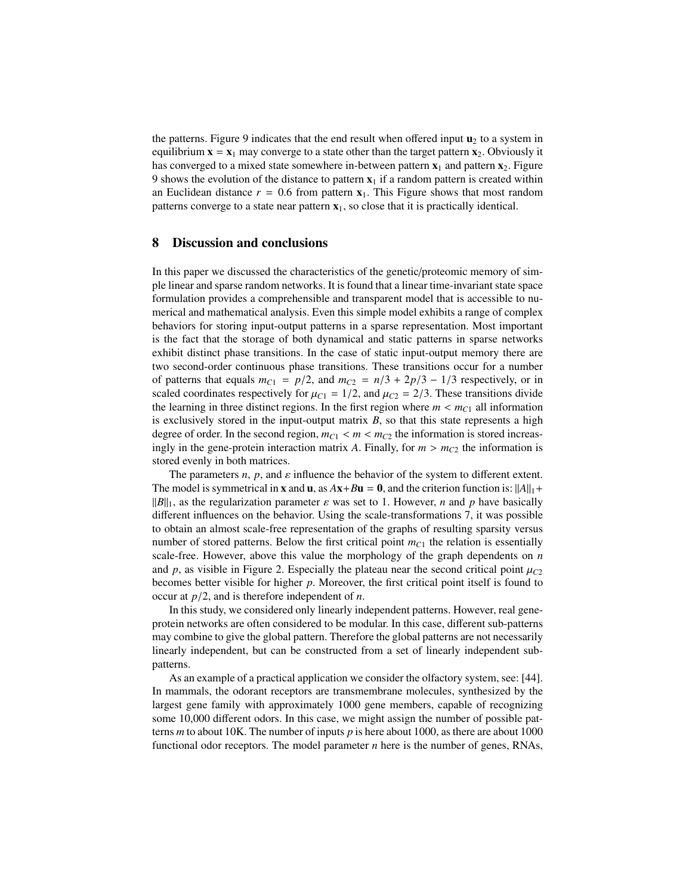the patterns. Figure 9 indicates that the end result when offered input  $\mathbf{u}_2$  to a system in equilibrium  $\mathbf{x} = \mathbf{x}_1$  may converge to a state other than the target pattern  $\mathbf{x}_2$ . Obviously it has converged to a mixed state somewhere in-between pattern  $x_1$  and pattern  $x_2$ . Figure 9 shows the evolution of the distance to pattern  $x_1$  if a random pattern is created within an Euclidean distance  $r = 0.6$  from pattern  $x_1$ . This Figure shows that most random patterns converge to a state near pattern  $x_1$ , so close that it is practically identical.

#### 8 Discussion and conclusions

In this paper we discussed the characteristics of the genetic/proteomic memory of simple linear and sparse random networks. It is found that a linear time-invariant state space formulation provides a comprehensible and transparent model that is accessible to numerical and mathematical analysis. Even this simple model exhibits a range of complex behaviors for storing input-output patterns in a sparse representation. Most important is the fact that the storage of both dynamical and static patterns in sparse networks exhibit distinct phase transitions. In the case of static input-output memory there are two second-order continuous phase transitions. These transitions occur for a number of patterns that equals  $m_{C1} = p/2$ , and  $m_{C2} = n/3 + 2p/3 - 1/3$  respectively, or in scaled coordinates respectively for  $\mu_{C1} = 1/2$ , and  $\mu_{C2} = 2/3$ . These transitions divide the learning in three distinct regions. In the first region where  $m < m<sub>C1</sub>$  all information is exclusively stored in the input-output matrix  $B$ , so that this state represents a high degree of order. In the second region,  $m_{C1} < m < m_{C2}$  the information is stored increasingly in the gene-protein interaction matrix *A*. Finally, for  $m > m_{C2}$  the information is stored evenly in both matrices.

The parameters  $n$ ,  $p$ , and  $\varepsilon$  influence the behavior of the system to different extent. The model is symmetrical in **x** and **u**, as  $A$ **x**+ $B$ **u** = **0**, and the criterion function is:  $||A||_1 +$  $||B||_1$ , as the regularization parameter  $\varepsilon$  was set to 1. However, *n* and *p* have basically different influences on the behavior. Using the scale-transformations 7, it was possible to obtain an almost scale-free representation of the graphs of resulting sparsity versus number of stored patterns. Below the first critical point  $m_{C1}$  the relation is essentially scale-free. However, above this value the morphology of the graph dependents on *n* and *p*, as visible in Figure 2. Especially the plateau near the second critical point  $\mu_{C2}$ becomes better visible for higher *p*. Moreover, the first critical point itself is found to occur at *<sup>p</sup>*/2, and is therefore independent of *<sup>n</sup>*.

In this study, we considered only linearly independent patterns. However, real geneprotein networks are often considered to be modular. In this case, different sub-patterns may combine to give the global pattern. Therefore the global patterns are not necessarily linearly independent, but can be constructed from a set of linearly independent subpatterns.

As an example of a practical application we consider the olfactory system, see: [44]. In mammals, the odorant receptors are transmembrane molecules, synthesized by the largest gene family with approximately 1000 gene members, capable of recognizing some 10,000 different odors. In this case, we might assign the number of possible patterns *m* to about 10K. The number of inputs *p* is here about 1000, as there are about 1000 functional odor receptors. The model parameter *n* here is the number of genes, RNAs,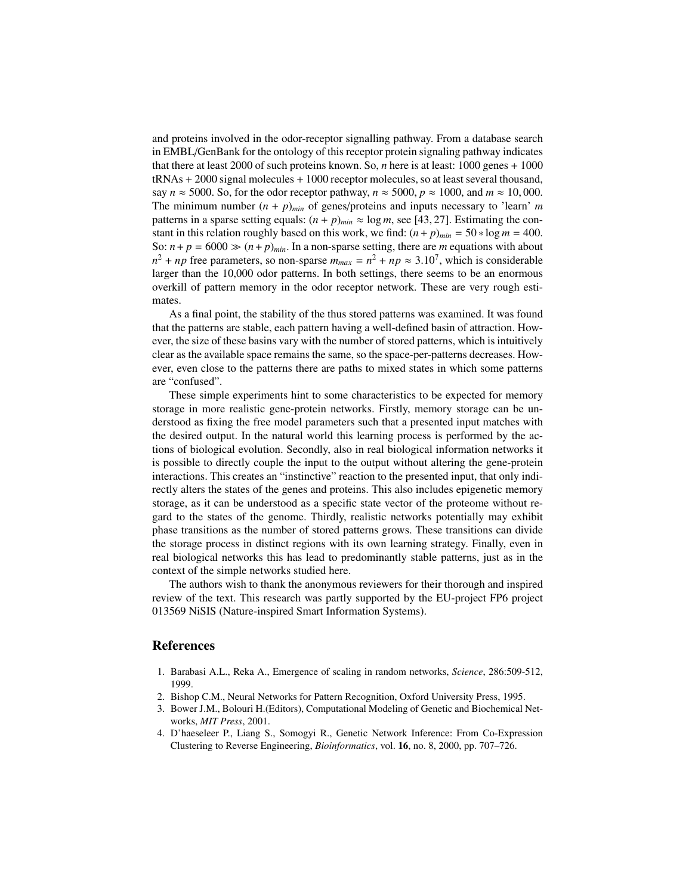and proteins involved in the odor-receptor signalling pathway. From a database search in EMBL/GenBank for the ontology of this receptor protein signaling pathway indicates that there at least 2000 of such proteins known. So, *n* here is at least: 1000 genes + 1000 tRNAs + 2000 signal molecules + 1000 receptor molecules, so at least several thousand, say  $n \approx 5000$ . So, for the odor receptor pathway,  $n \approx 5000$ ,  $p \approx 1000$ , and  $m \approx 10,000$ . The minimum number  $(n + p)_{min}$  of genes/proteins and inputs necessary to 'learn' *m* patterns in a sparse setting equals:  $(n + p)_{min} \approx \log m$ , see [43, 27]. Estimating the constant in this relation roughly based on this work, we find:  $(n+p)_{min} = 50 * log m = 400$ . So:  $n + p = 6000 \gg (n + p)_{min}$ . In a non-sparse setting, there are *m* equations with about  $n^2 + np$  free parameters, so non-sparse  $m_{max} = n^2 + np \approx 3.10^7$ , which is considerable<br>larger than the 10,000 oder patterns. In both settings, there seems to be an enormous larger than the 10,000 odor patterns. In both settings, there seems to be an enormous overkill of pattern memory in the odor receptor network. These are very rough estimates.

As a final point, the stability of the thus stored patterns was examined. It was found that the patterns are stable, each pattern having a well-defined basin of attraction. However, the size of these basins vary with the number of stored patterns, which is intuitively clear as the available space remains the same, so the space-per-patterns decreases. However, even close to the patterns there are paths to mixed states in which some patterns are "confused".

These simple experiments hint to some characteristics to be expected for memory storage in more realistic gene-protein networks. Firstly, memory storage can be understood as fixing the free model parameters such that a presented input matches with the desired output. In the natural world this learning process is performed by the actions of biological evolution. Secondly, also in real biological information networks it is possible to directly couple the input to the output without altering the gene-protein interactions. This creates an "instinctive" reaction to the presented input, that only indirectly alters the states of the genes and proteins. This also includes epigenetic memory storage, as it can be understood as a specific state vector of the proteome without regard to the states of the genome. Thirdly, realistic networks potentially may exhibit phase transitions as the number of stored patterns grows. These transitions can divide the storage process in distinct regions with its own learning strategy. Finally, even in real biological networks this has lead to predominantly stable patterns, just as in the context of the simple networks studied here.

The authors wish to thank the anonymous reviewers for their thorough and inspired review of the text. This research was partly supported by the EU-project FP6 project 013569 NiSIS (Nature-inspired Smart Information Systems).

### References

- 1. Barabasi A.L., Reka A., Emergence of scaling in random networks, *Science*, 286:509-512, 1999.
- 2. Bishop C.M., Neural Networks for Pattern Recognition, Oxford University Press, 1995.
- 3. Bower J.M., Bolouri H.(Editors), Computational Modeling of Genetic and Biochemical Networks, *MIT Press*, 2001.
- 4. D'haeseleer P., Liang S., Somogyi R., Genetic Network Inference: From Co-Expression Clustering to Reverse Engineering, *Bioinformatics*, vol. 16, no. 8, 2000, pp. 707–726.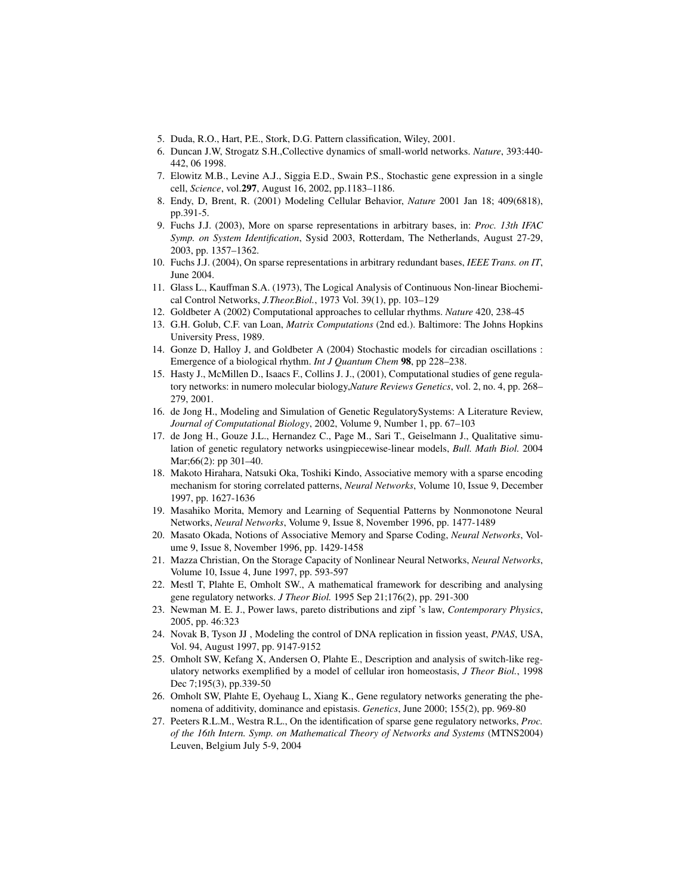- 5. Duda, R.O., Hart, P.E., Stork, D.G. Pattern classification, Wiley, 2001.
- 6. Duncan J.W, Strogatz S.H.,Collective dynamics of small-world networks. *Nature*, 393:440- 442, 06 1998.
- 7. Elowitz M.B., Levine A.J., Siggia E.D., Swain P.S., Stochastic gene expression in a single cell, *Science*, vol.297, August 16, 2002, pp.1183–1186.
- 8. Endy, D, Brent, R. (2001) Modeling Cellular Behavior, *Nature* 2001 Jan 18; 409(6818), pp.391-5.
- 9. Fuchs J.J. (2003), More on sparse representations in arbitrary bases, in: *Proc. 13th IFAC Symp. on System Identification*, Sysid 2003, Rotterdam, The Netherlands, August 27-29, 2003, pp. 1357–1362.
- 10. Fuchs J.J. (2004), On sparse representations in arbitrary redundant bases, *IEEE Trans. on IT*, June 2004.
- 11. Glass L., Kauffman S.A. (1973), The Logical Analysis of Continuous Non-linear Biochemical Control Networks, *J.Theor.Biol.*, 1973 Vol. 39(1), pp. 103–129
- 12. Goldbeter A (2002) Computational approaches to cellular rhythms. *Nature* 420, 238-45
- 13. G.H. Golub, C.F. van Loan, *Matrix Computations* (2nd ed.). Baltimore: The Johns Hopkins University Press, 1989.
- 14. Gonze D, Halloy J, and Goldbeter A (2004) Stochastic models for circadian oscillations : Emergence of a biological rhythm. *Int J Quantum Chem* 98, pp 228–238.
- 15. Hasty J., McMillen D., Isaacs F., Collins J. J., (2001), Computational studies of gene regulatory networks: in numero molecular biology,*Nature Reviews Genetics*, vol. 2, no. 4, pp. 268– 279, 2001.
- 16. de Jong H., Modeling and Simulation of Genetic RegulatorySystems: A Literature Review, *Journal of Computational Biology*, 2002, Volume 9, Number 1, pp. 67–103
- 17. de Jong H., Gouze J.L., Hernandez C., Page M., Sari T., Geiselmann J., Qualitative simulation of genetic regulatory networks usingpiecewise-linear models, *Bull. Math Biol.* 2004 Mar;66(2): pp 301–40.
- 18. Makoto Hirahara, Natsuki Oka, Toshiki Kindo, Associative memory with a sparse encoding mechanism for storing correlated patterns, *Neural Networks*, Volume 10, Issue 9, December 1997, pp. 1627-1636
- 19. Masahiko Morita, Memory and Learning of Sequential Patterns by Nonmonotone Neural Networks, *Neural Networks*, Volume 9, Issue 8, November 1996, pp. 1477-1489
- 20. Masato Okada, Notions of Associative Memory and Sparse Coding, *Neural Networks*, Volume 9, Issue 8, November 1996, pp. 1429-1458
- 21. Mazza Christian, On the Storage Capacity of Nonlinear Neural Networks, *Neural Networks*, Volume 10, Issue 4, June 1997, pp. 593-597
- 22. Mestl T, Plahte E, Omholt SW., A mathematical framework for describing and analysing gene regulatory networks. *J Theor Biol.* 1995 Sep 21;176(2), pp. 291-300
- 23. Newman M. E. J., Power laws, pareto distributions and zipf 's law, *Contemporary Physics*, 2005, pp. 46:323
- 24. Novak B, Tyson JJ , Modeling the control of DNA replication in fission yeast, *PNAS*, USA, Vol. 94, August 1997, pp. 9147-9152
- 25. Omholt SW, Kefang X, Andersen O, Plahte E., Description and analysis of switch-like regulatory networks exemplified by a model of cellular iron homeostasis, *J Theor Biol.*, 1998 Dec 7;195(3), pp.339-50
- 26. Omholt SW, Plahte E, Oyehaug L, Xiang K., Gene regulatory networks generating the phenomena of additivity, dominance and epistasis. *Genetics*, June 2000; 155(2), pp. 969-80
- 27. Peeters R.L.M., Westra R.L., On the identification of sparse gene regulatory networks, *Proc. of the 16th Intern. Symp. on Mathematical Theory of Networks and Systems* (MTNS2004) Leuven, Belgium July 5-9, 2004